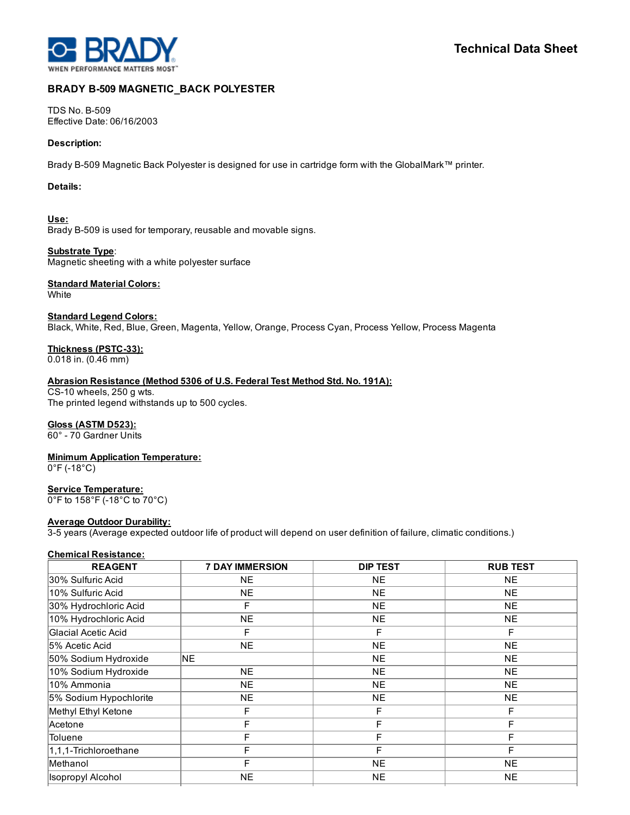

# BRADY B-509 MAGNETIC\_BACK POLYESTER

TDS No. B-509 Effective Date: 06/16/2003

#### Description:

Brady B-509 Magnetic Back Polyester is designed for use in cartridge form with the GlobalMark™ printer.

#### Details:

Use: Brady B-509 is used for temporary, reusable and movable signs.

Substrate Type: Magnetic sheeting with a white polyester surface

# **Standard Material Colors:**

**White** 

Standard Legend Colors: Black, White, Red, Blue, Green, Magenta, Yellow, Orange, Process Cyan, Process Yellow, Process Magenta

Thickness (PSTC-33):

0.018 in. (0.46 mm)

Abrasion Resistance (Method 5306 of U.S. Federal Test Method Std. No. 191A):

 $CS-10$  wheels, 250 g wts. The printed legend withstands up to 500 cycles.

## Gloss (ASTM D523):

60° 70 Gardner Units

Minimum Application Temperature:

 $0^{\circ}$ F (-18 $^{\circ}$ C)

## Service Temperature:

0°F to 158°F (-18°C to 70°C)

## **Average Outdoor Durability:**

35 years (Average expected outdoor life of product will depend on user definition of failure, climatic conditions.)

# Chemical Resistance:

| <b>REAGENT</b>           | <b>7 DAY IMMERSION</b> | <b>DIP TEST</b> | <b>RUB TEST</b> |
|--------------------------|------------------------|-----------------|-----------------|
| 30% Sulfuric Acid        | <b>NE</b>              | <b>NE</b>       | <b>NE</b>       |
| 10% Sulfuric Acid        | <b>NE</b>              | <b>NE</b>       | <b>NE</b>       |
| 30% Hydrochloric Acid    | F                      | <b>NE</b>       | <b>NE</b>       |
| 10% Hydrochloric Acid    | <b>NE</b>              | <b>NE</b>       | <b>NE</b>       |
| Glacial Acetic Acid      | F                      | F               | F               |
| 5% Acetic Acid           | <b>NE</b>              | <b>NE</b>       | <b>NE</b>       |
| 50% Sodium Hydroxide     | <b>INE</b>             | <b>NE</b>       | <b>NE</b>       |
| 10% Sodium Hydroxide     | <b>NE</b>              | <b>NE</b>       | <b>NE</b>       |
| l10% Ammonia             | <b>NE</b>              | <b>NE</b>       | <b>NE</b>       |
| 5% Sodium Hypochlorite   | <b>NE</b>              | <b>NE</b>       | <b>NE</b>       |
| Methyl Ethyl Ketone      | F                      | F               | F               |
| Acetone                  | F                      | F               | F               |
| Toluene                  | F                      | F               | F               |
| 1,1,1-Trichloroethane    | F                      | F               | F               |
| Methanol                 | F                      | <b>NE</b>       | <b>NE</b>       |
| <b>Isopropyl Alcohol</b> | <b>NE</b>              | <b>NE</b>       | <b>NE</b>       |